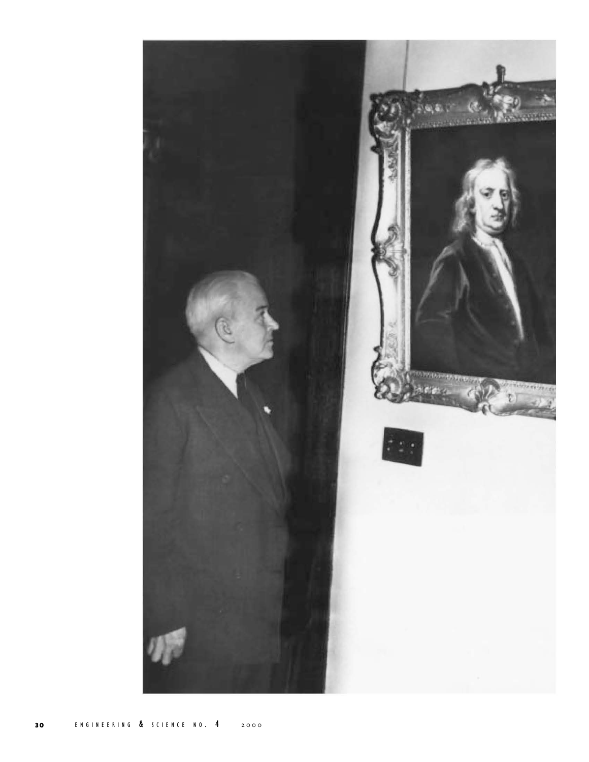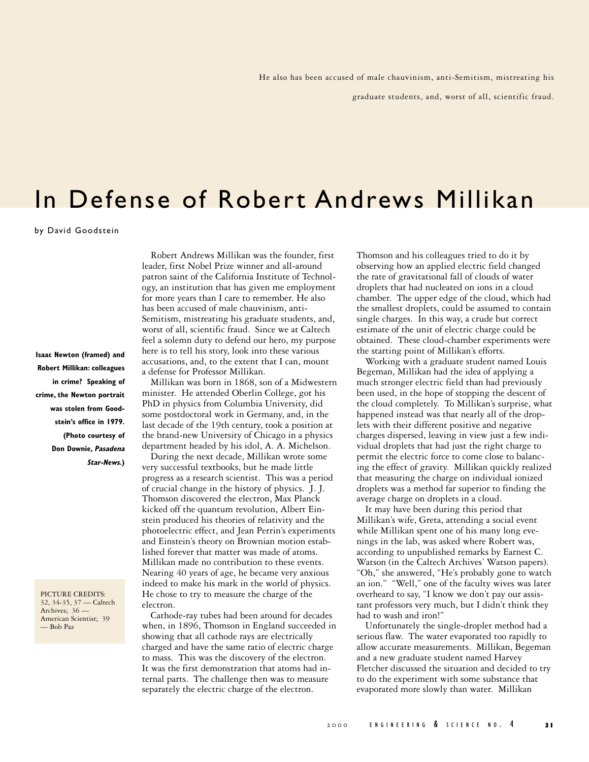graduate students, and, worst of all, scientific fraud.

## In Defense of Robert Andrews Millikan

by David Goodstein

**Isaac Newton (framed) and Robert Millikan: colleagues in crime? Speaking of crime, the Newton portrait was stolen from Goodstein's office in 1979. (Photo courtesy of Don Downie, Pasadena Star-News.)**

PICTURE CREDITS: 32, 34-35, 37 — Caltech Archives; 36 — American Scientist; 39 — Bob Paz

Robert Andrews Millikan was the founder, first leader, first Nobel Prize winner and all-around patron saint of the California Institute of Technology, an institution that has given me employment for more years than I care to remember. He also has been accused of male chauvinism, anti-Semitism, mistreating his graduate students, and, worst of all, scientific fraud. Since we at Caltech feel a solemn duty to defend our hero, my purpose here is to tell his story, look into these various accusations, and, to the extent that I can, mount a defense for Professor Millikan.

Millikan was born in 1868, son of a Midwestern minister. He attended Oberlin College, got his PhD in physics from Columbia University, did some postdoctoral work in Germany, and, in the last decade of the 19th century, took a position at the brand-new University of Chicago in a physics department headed by his idol, A. A. Michelson.

During the next decade, Millikan wrote some very successful textbooks, but he made little progress as a research scientist. This was a period of crucial change in the history of physics. J. J. Thomson discovered the electron, Max Planck kicked off the quantum revolution, Albert Einstein produced his theories of relativity and the photoelectric effect, and Jean Perrin's experiments and Einstein's theory on Brownian motion established forever that matter was made of atoms. Millikan made no contribution to these events. Nearing 40 years of age, he became very anxious indeed to make his mark in the world of physics. He chose to try to measure the charge of the electron.

Cathode-ray tubes had been around for decades when, in 1896, Thomson in England succeeded in showing that all cathode rays are electrically charged and have the same ratio of electric charge to mass. This was the discovery of the electron. It was the first demonstration that atoms had internal parts. The challenge then was to measure separately the electric charge of the electron.

Thomson and his colleagues tried to do it by observing how an applied electric field changed the rate of gravitational fall of clouds of water droplets that had nucleated on ions in a cloud chamber. The upper edge of the cloud, which had the smallest droplets, could be assumed to contain single charges. In this way, a crude but correct estimate of the unit of electric charge could be obtained. These cloud-chamber experiments were the starting point of Millikan's efforts.

Working with a graduate student named Louis Begeman, Millikan had the idea of applying a much stronger electric field than had previously been used, in the hope of stopping the descent of the cloud completely. To Millikan's surprise, what happened instead was that nearly all of the droplets with their different positive and negative charges dispersed, leaving in view just a few individual droplets that had just the right charge to permit the electric force to come close to balancing the effect of gravity. Millikan quickly realized that measuring the charge on individual ionized droplets was a method far superior to finding the average charge on droplets in a cloud.

It may have been during this period that Millikan's wife, Greta, attending a social event while Millikan spent one of his many long evenings in the lab, was asked where Robert was, according to unpublished remarks by Earnest C. Watson (in the Caltech Archives' Watson papers). "Oh," she answered, "He's probably gone to watch an ion." "Well," one of the faculty wives was later overheard to say, "I know we don't pay our assistant professors very much, but I didn't think they had to wash and iron!"

Unfortunately the single-droplet method had a serious flaw. The water evaporated too rapidly to allow accurate measurements. Millikan, Begeman and a new graduate student named Harvey Fletcher discussed the situation and decided to try to do the experiment with some substance that evaporated more slowly than water. Millikan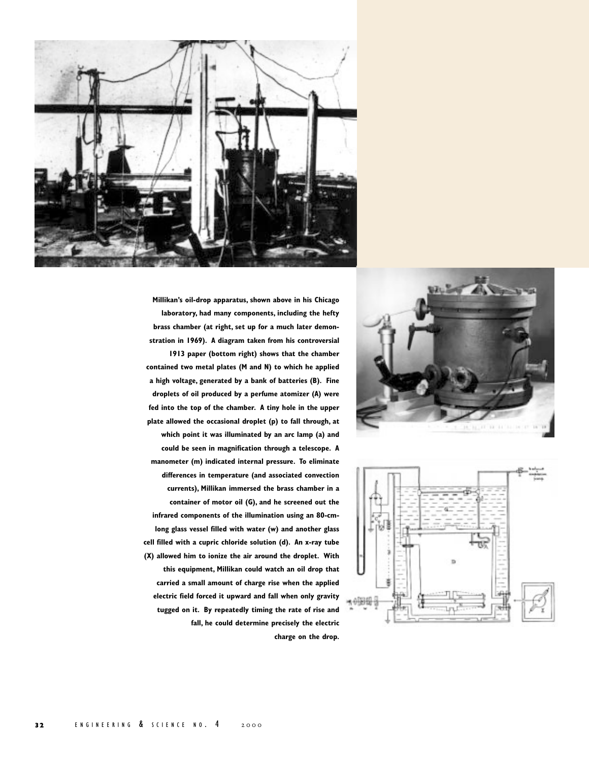





**laboratory, had many components, including the hefty brass chamber (at right, set up for a much later demonstration in 1969). A diagram taken from his controversial 1913 paper (bottom right) shows that the chamber contained two metal plates (M and N) to which he applied a high voltage, generated by a bank of batteries (B). Fine droplets of oil produced by a perfume atomizer (A) were fed into the top of the chamber. A tiny hole in the upper plate allowed the occasional droplet (p) to fall through, at which point it was illuminated by an arc lamp (a) and could be seen in magnification through a telescope. A manometer (m) indicated internal pressure. To eliminate differences in temperature (and associated convection currents), Millikan immersed the brass chamber in a container of motor oil (G), and he screened out the infrared components of the illumination using an 80-cmlong glass vessel filled with water (w) and another glass cell filled with a cupric chloride solution (d). An x-ray tube (X) allowed him to ionize the air around the droplet. With this equipment, Millikan could watch an oil drop that carried a small amount of charge rise when the applied electric field forced it upward and fall when only gravity tugged on it. By repeatedly timing the rate of rise and fall, he could determine precisely the electric charge on the drop.**

**Millikan's oil-drop apparatus, shown above in his Chicago**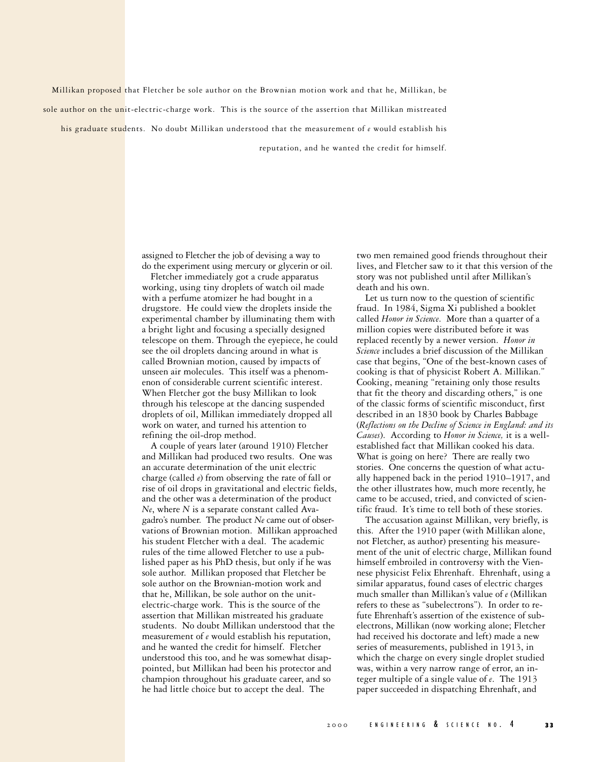Millikan proposed that Fletcher be sole author on the Brownian motion work and that he, Millikan, be sole author on the unit-electric-charge work. This is the source of the assertion that Millikan mistreated

his graduate students. No doubt Millikan understood that the measurement of *e* would establish his

reputation, and he wanted the credit for himself.

assigned to Fletcher the job of devising a way to do the experiment using mercury or glycerin or oil.

Fletcher immediately got a crude apparatus working, using tiny droplets of watch oil made with a perfume atomizer he had bought in a drugstore. He could view the droplets inside the experimental chamber by illuminating them with a bright light and focusing a specially designed telescope on them. Through the eyepiece, he could see the oil droplets dancing around in what is called Brownian motion, caused by impacts of unseen air molecules. This itself was a phenomenon of considerable current scientific interest. When Fletcher got the busy Millikan to look through his telescope at the dancing suspended droplets of oil, Millikan immediately dropped all work on water, and turned his attention to refining the oil-drop method.

A couple of years later (around 1910) Fletcher and Millikan had produced two results. One was an accurate determination of the unit electric charge (called *e*) from observing the rate of fall or rise of oil drops in gravitational and electric fields, and the other was a determination of the product *Ne*, where *N* is a separate constant called Avagadro's number. The product *Ne* came out of observations of Brownian motion. Millikan approached his student Fletcher with a deal. The academic rules of the time allowed Fletcher to use a published paper as his PhD thesis, but only if he was sole author. Millikan proposed that Fletcher be sole author on the Brownian-motion work and that he, Millikan, be sole author on the unitelectric-charge work. This is the source of the assertion that Millikan mistreated his graduate students. No doubt Millikan understood that the measurement of *e* would establish his reputation, and he wanted the credit for himself. Fletcher understood this too, and he was somewhat disappointed, but Millikan had been his protector and champion throughout his graduate career, and so he had little choice but to accept the deal. The

two men remained good friends throughout their lives, and Fletcher saw to it that this version of the story was not published until after Millikan's death and his own.

Let us turn now to the question of scientific fraud. In 1984, Sigma Xi published a booklet called *Honor in Science*. More than a quarter of a million copies were distributed before it was replaced recently by a newer version. *Honor in Science* includes a brief discussion of the Millikan case that begins, "One of the best-known cases of cooking is that of physicist Robert A. Millikan." Cooking, meaning "retaining only those results that fit the theory and discarding others," is one of the classic forms of scientific misconduct, first described in an 1830 book by Charles Babbage (*Reflections on the Decline of Science in England: and its Causes*). According to *Honor in Science,* it is a wellestablished fact that Millikan cooked his data. What is going on here? There are really two stories. One concerns the question of what actually happened back in the period 1910–1917, and the other illustrates how, much more recently, he came to be accused, tried, and convicted of scientific fraud. It's time to tell both of these stories.

The accusation against Millikan, very briefly, is this. After the 1910 paper (with Millikan alone, not Fletcher, as author) presenting his measurement of the unit of electric charge, Millikan found himself embroiled in controversy with the Viennese physicist Felix Ehrenhaft. Ehrenhaft, using a similar apparatus, found cases of electric charges much smaller than Millikan's value of *e* (Millikan refers to these as "subelectrons"). In order to refute Ehrenhaft's assertion of the existence of subelectrons, Millikan (now working alone; Fletcher had received his doctorate and left) made a new series of measurements, published in 1913, in which the charge on every single droplet studied was, within a very narrow range of error, an integer multiple of a single value of *e*. The 1913 paper succeeded in dispatching Ehrenhaft, and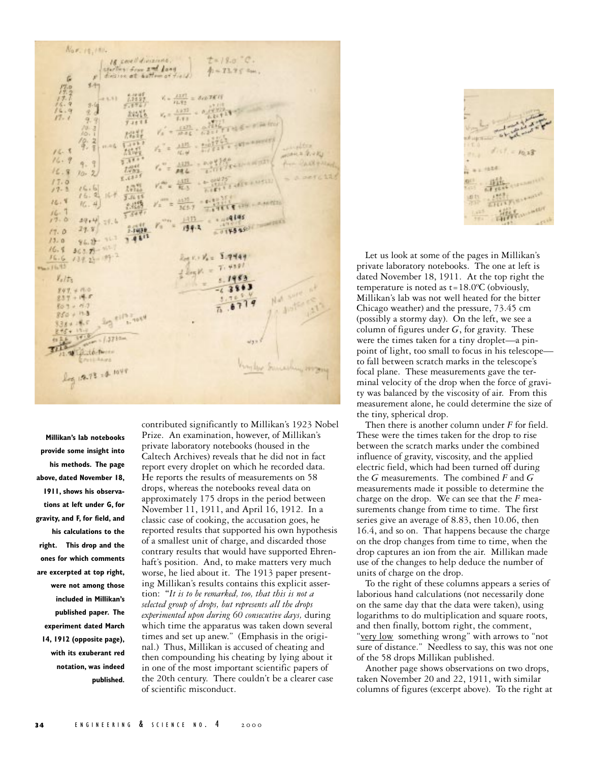Nov. 19:194 18 sevel divisions  $t = 18.0$ Sim and fany  $73.9524$  $at$ 門語  $16.$  $16.8$ n. ö  $12$ 1Ł RG. 교  $\frac{16}{17}$ tac 傅辛  $29.3$  $\theta$  $13.0$  $95.2$  $363.75$  $16.6$  $139.21$  $V_t/t_3$  $1983$ log 12.73 = 4 1049

**Millikan's lab notebooks provide some insight into his methods. The page above, dated November 18, 1911, shows his observations at left under G, for gravity, and F, for field, and his calculations to the right. This drop and the ones for which comments are excerpted at top right, were not among those included in Millikan's published paper. The experiment dated March 14, 1912 (opposite page), with its exuberant red notation, was indeed published.** contributed significantly to Millikan's 1923 Nobel Prize. An examination, however, of Millikan's private laboratory notebooks (housed in the Caltech Archives) reveals that he did not in fact report every droplet on which he recorded data. He reports the results of measurements on 58 drops, whereas the notebooks reveal data on approximately 175 drops in the period between November 11, 1911, and April 16, 1912. In a classic case of cooking, the accusation goes, he reported results that supported his own hypothesis of a smallest unit of charge, and discarded those contrary results that would have supported Ehrenhaft's position. And, to make matters very much worse, he lied about it. The 1913 paper presenting Millikan's results contains this explicit assertion: **"***It is to be remarked, too, that this is not a selected group of drops, but represents all the drops experimented upon during 60 consecutive days,* during which time the apparatus was taken down several times and set up anew." (Emphasis in the original.) Thus, Millikan is accused of cheating and then compounding his cheating by lying about it in one of the most important scientific papers of the 20th century. There couldn't be a clearer case of scientific misconduct.



Let us look at some of the pages in Millikan's private laboratory notebooks. The one at left is dated November 18, 1911. At the top right the temperature is noted as  $t = 18.0$ °C (obviously, Millikan's lab was not well heated for the bitter Chicago weather) and the pressure, 73.45 cm (possibly a stormy day). On the left, we see a column of figures under *G*, for gravity. These were the times taken for a tiny droplet—a pinpoint of light, too small to focus in his telescope to fall between scratch marks in the telescope's focal plane. These measurements gave the terminal velocity of the drop when the force of gravity was balanced by the viscosity of air. From this measurement alone, he could determine the size of the tiny, spherical drop.

Then there is another column under *F* for field. These were the times taken for the drop to rise between the scratch marks under the combined influence of gravity, viscosity, and the applied electric field, which had been turned off during the *G* measurements. The combined *F* and *G* measurements made it possible to determine the charge on the drop. We can see that the *F* measurements change from time to time. The first series give an average of 8.83, then 10.06, then 16.4, and so on. That happens because the charge on the drop changes from time to time, when the drop captures an ion from the air. Millikan made use of the changes to help deduce the number of units of charge on the drop.

To the right of these columns appears a series of laborious hand calculations (not necessarily done on the same day that the data were taken), using logarithms to do multiplication and square roots, and then finally, bottom right, the comment, "very low something wrong" with arrows to "not" sure of distance." Needless to say, this was not one of the 58 drops Millikan published.

Another page shows observations on two drops, taken November 20 and 22, 1911, with similar columns of figures (excerpt above). To the right at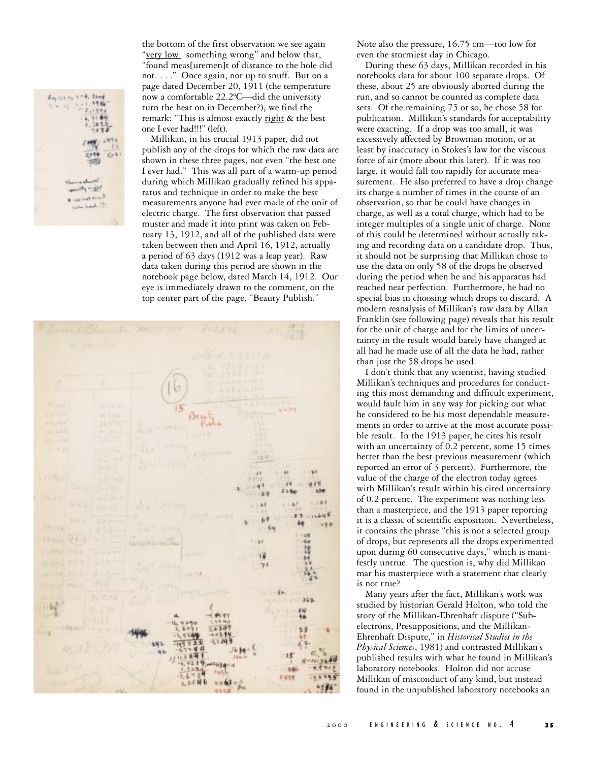

the bottom of the first observation we see again "very low something wrong" and below that, "found meas[uremen]t of distance to the hole did not. . . ." Once again, not up to snuff. But on a page dated December 20, 1911 (the temperature now a comfortable 22.2ºC—did the university turn the heat on in December?), we find the remark: "This is almost exactly right & the best one I ever had!!!" (left).

Millikan, in his crucial 1913 paper, did not publish any of the drops for which the raw data are shown in these three pages, not even "the best one I ever had." This was all part of a warm-up period during which Millikan gradually refined his apparatus and technique in order to make the best measurements anyone had ever made of the unit of electric charge. The first observation that passed muster and made it into print was taken on February 13, 1912, and all of the published data were taken between then and April 16, 1912, actually a period of 63 days (1912 was a leap year). Raw data taken during this period are shown in the notebook page below, dated March 14, 1912. Our eye is immediately drawn to the comment, on the top center part of the page, "Beauty Publish."



Note also the pressure, 16.75 cm—too low for even the stormiest day in Chicago.

During these 63 days, Millikan recorded in his notebooks data for about 100 separate drops. Of these, about 25 are obviously aborted during the run, and so cannot be counted as complete data sets. Of the remaining 75 or so, he chose 58 for publication. Millikan's standards for acceptability were exacting. If a drop was too small, it was excessively affected by Brownian motion, or at least by inaccuracy in Stokes's law for the viscous force of air (more about this later). If it was too large, it would fall too rapidly for accurate measurement. He also preferred to have a drop change its charge a number of times in the course of an observation, so that he could have changes in charge, as well as a total charge, which had to be integer multiples of a single unit of charge. None of this could be determined without actually taking and recording data on a candidate drop. Thus, it should not be surprising that Millikan chose to use the data on only 58 of the drops he observed during the period when he and his apparatus had reached near perfection. Furthermore, he had no special bias in choosing which drops to discard. A modern reanalysis of Millikan's raw data by Allan Franklin (see following page) reveals that his result for the unit of charge and for the limits of uncertainty in the result would barely have changed at all had he made use of all the data he had, rather than just the 58 drops he used.

I don't think that any scientist, having studied Millikan's techniques and procedures for conducting this most demanding and difficult experiment, would fault him in any way for picking out what he considered to be his most dependable measurements in order to arrive at the most accurate possible result. In the 1913 paper, he cites his result with an uncertainty of 0.2 percent, some 15 times better than the best previous measurement (which reported an error of 3 percent). Furthermore, the value of the charge of the electron today agrees with Millikan's result within his cited uncertainty of 0.2 percent. The experiment was nothing less than a masterpiece, and the 1913 paper reporting it is a classic of scientific exposition. Nevertheless, it contains the phrase "this is not a selected group of drops, but represents all the drops experimented upon during 60 consecutive days," which is manifestly untrue. The question is, why did Millikan mar his masterpiece with a statement that clearly is not true?

Many years after the fact, Millikan's work was studied by historian Gerald Holton, who told the story of the Millikan-Ehrenhaft dispute ("Subelectrons, Presuppositions, and the Millikan-Ehrenhaft Dispute," in *Historical Studies in the Physical Sciences*, 1981) and contrasted Millikan's published results with what he found in Millikan's laboratory notebooks. Holton did not accuse Millikan of misconduct of any kind, but instead found in the unpublished laboratory notebooks an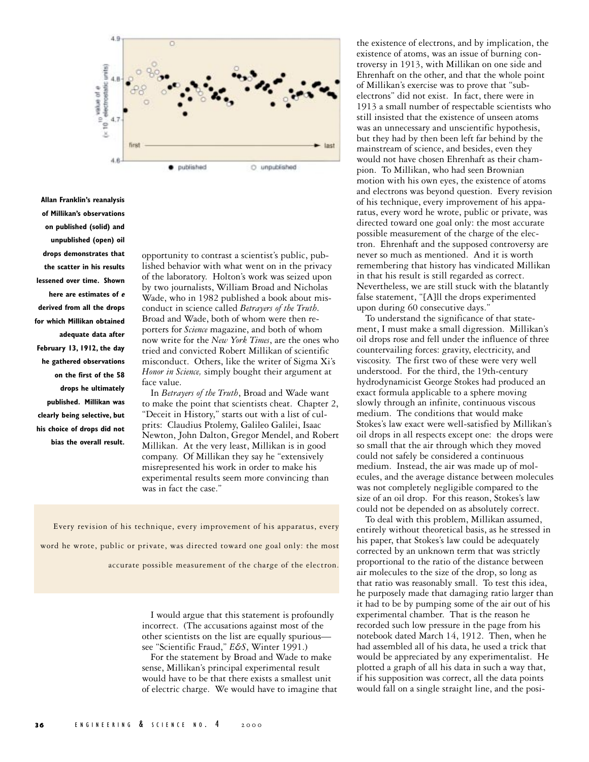

**Allan Franklin's reanalysis of Millikan's observations on published (solid) and unpublished (open) oil drops demonstrates that the scatter in his results lessened over time. Shown here are estimates of <sup>e</sup> derived from all the drops for which Millikan obtained adequate data after February 13, 1912, the day he gathered observations on the first of the 58 drops he ultimately published. Millikan was clearly being selective, but his choice of drops did not bias the overall result.**

opportunity to contrast a scientist's public, published behavior with what went on in the privacy of the laboratory. Holton's work was seized upon by two journalists, William Broad and Nicholas Wade, who in 1982 published a book about misconduct in science called *Betrayers of the Truth*. Broad and Wade, both of whom were then reporters for *Science* magazine, and both of whom now write for the *New York Times*, are the ones who tried and convicted Robert Millikan of scientific misconduct. Others, like the writer of Sigma Xi's *Honor in Science,* simply bought their argument at face value.

In *Betrayers of the Truth*, Broad and Wade want to make the point that scientists cheat. Chapter 2, "Deceit in History," starts out with a list of culprits: Claudius Ptolemy, Galileo Galilei, Isaac Newton, John Dalton, Gregor Mendel, and Robert Millikan. At the very least, Millikan is in good company. Of Millikan they say he "extensively misrepresented his work in order to make his experimental results seem more convincing than was in fact the case."

Every revision of his technique, every improvement of his apparatus, every word he wrote, public or private, was directed toward one goal only: the most accurate possible measurement of the charge of the electron.

> I would argue that this statement is profoundly incorrect. (The accusations against most of the other scientists on the list are equally spurious see "Scientific Fraud," *E&S*, Winter 1991.)

For the statement by Broad and Wade to make sense, Millikan's principal experimental result would have to be that there exists a smallest unit of electric charge. We would have to imagine that

the existence of electrons, and by implication, the existence of atoms, was an issue of burning controversy in 1913, with Millikan on one side and Ehrenhaft on the other, and that the whole point of Millikan's exercise was to prove that "subelectrons" did not exist. In fact, there were in 1913 a small number of respectable scientists who still insisted that the existence of unseen atoms was an unnecessary and unscientific hypothesis, but they had by then been left far behind by the mainstream of science, and besides, even they would not have chosen Ehrenhaft as their champion. To Millikan, who had seen Brownian motion with his own eyes, the existence of atoms and electrons was beyond question. Every revision of his technique, every improvement of his apparatus, every word he wrote, public or private, was directed toward one goal only: the most accurate possible measurement of the charge of the electron. Ehrenhaft and the supposed controversy are never so much as mentioned. And it is worth remembering that history has vindicated Millikan in that his result is still regarded as correct. Nevertheless, we are still stuck with the blatantly false statement, "[A]ll the drops experimented upon during 60 consecutive days."

To understand the significance of that statement, I must make a small digression. Millikan's oil drops rose and fell under the influence of three countervailing forces: gravity, electricity, and viscosity. The first two of these were very well understood. For the third, the 19th-century hydrodynamicist George Stokes had produced an exact formula applicable to a sphere moving slowly through an infinite, continuous viscous medium. The conditions that would make Stokes's law exact were well-satisfied by Millikan's oil drops in all respects except one: the drops were so small that the air through which they moved could not safely be considered a continuous medium. Instead, the air was made up of molecules, and the average distance between molecules was not completely negligible compared to the size of an oil drop. For this reason, Stokes's law could not be depended on as absolutely correct.

To deal with this problem, Millikan assumed, entirely without theoretical basis, as he stressed in his paper, that Stokes's law could be adequately corrected by an unknown term that was strictly proportional to the ratio of the distance between air molecules to the size of the drop, so long as that ratio was reasonably small. To test this idea, he purposely made that damaging ratio larger than it had to be by pumping some of the air out of his experimental chamber. That is the reason he recorded such low pressure in the page from his notebook dated March 14, 1912. Then, when he had assembled all of his data, he used a trick that would be appreciated by any experimentalist. He plotted a graph of all his data in such a way that, if his supposition was correct, all the data points would fall on a single straight line, and the posi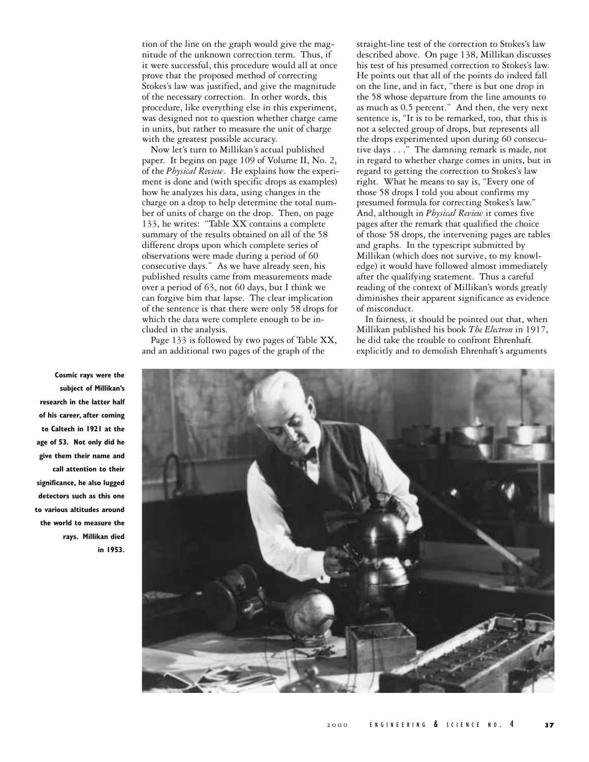tion of the line on the graph would give the magnitude of the unknown correction term. Thus, if it were successful, this procedure would all at once prove that the proposed method of correcting Stokes's law was justified, and give the magnitude of the necessary correction. In other words, this procedure, like everything else in this experiment, was designed not to question whether charge came in units, but rather to measure the unit of charge with the greatest possible accuracy.

Now let's turn to Millikan's actual published paper. It begins on page 109 of Volume II, No. 2, of the *Physical Review*. He explains how the experiment is done and (with specific drops as examples) how he analyzes his data, using changes in the charge on a drop to help determine the total number of units of charge on the drop. Then, on page 133, he writes: "Table XX contains a complete summary of the results obtained on all of the 58 different drops upon which complete series of observations were made during a period of 60 consecutive days." As we have already seen, his published results came from measurements made over a period of 63, not 60 days, but I think we can forgive him that lapse. The clear implication of the sentence is that there were only 58 drops for which the data were complete enough to be included in the analysis.

Page 133 is followed by two pages of Table XX, and an additional two pages of the graph of the

straight-line test of the correction to Stokes's law described above. On page 138, Millikan discusses his test of his presumed correction to Stokes's law. He points out that all of the points do indeed fall on the line, and in fact, "there is but one drop in the 58 whose departure from the line amounts to as much as 0.5 percent." And then, the very next sentence is, "It is to be remarked, too, that this is not a selected group of drops, but represents all the drops experimented upon during 60 consecutive days . . ." The damning remark is made, not in regard to whether charge comes in units, but in regard to getting the correction to Stokes's law right. What he means to say is, "Every one of those 58 drops I told you about confirms my presumed formula for correcting Stokes's law." And, although in *Physical Review* it comes five pages after the remark that qualified the choice of those 58 drops, the intervening pages are tables and graphs. In the typescript submitted by Millikan (which does not survive, to my knowledge) it would have followed almost immediately after the qualifying statement. Thus a careful reading of the context of Millikan's words greatly diminishes their apparent significance as evidence of misconduct.

In fairness, it should be pointed out that, when Millikan published his book *The Electron* in 1917, he did take the trouble to confront Ehrenhaft explicitly and to demolish Ehrenhaft's arguments



**Cosmic rays were the subject of Millikan's research in the latter half of his career, after coming to Caltech in 1921 at the age of 53. Not only did he give them their name and call attention to their significance, he also lugged detectors such as this one to various altitudes around the world to measure the rays. Millikan died in 1953.**